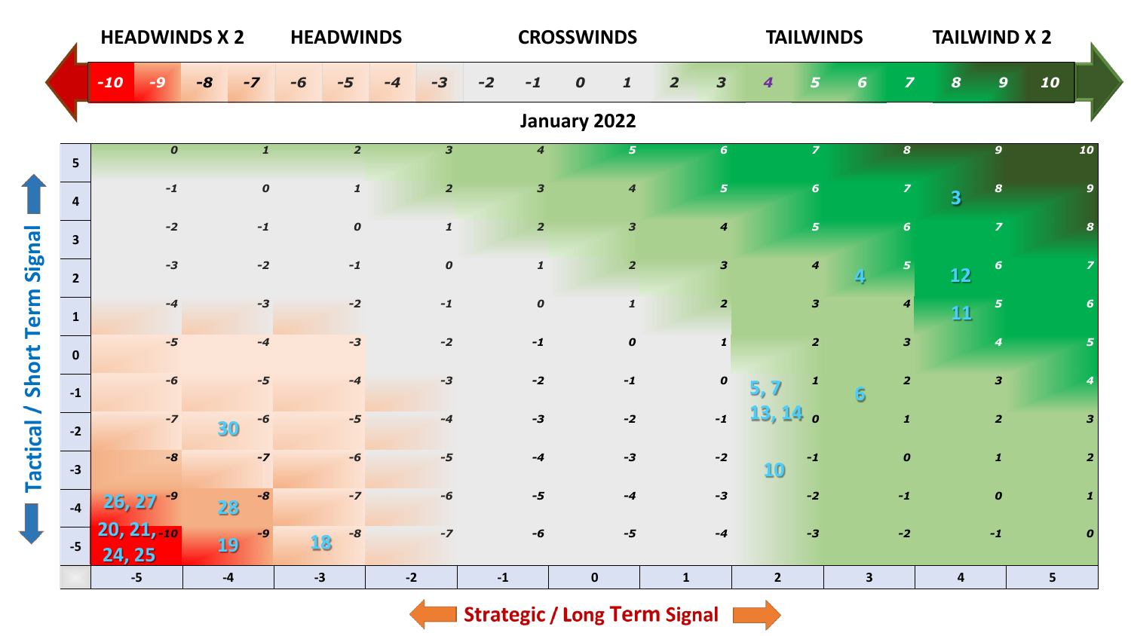|                   | <b>HEADWINDS X 2</b>    |                         |                  |           |              | <b>HEADWINDS</b> |                  |      |                         |      |                             | <b>CROSSWINDS</b> |                         |                |                         |                | <b>TAILWINDS</b>        |                      |                  | <b>TAILWIND X 2</b>     |                         |                |                         |  |
|-------------------|-------------------------|-------------------------|------------------|-----------|--------------|------------------|------------------|------|-------------------------|------|-----------------------------|-------------------|-------------------------|----------------|-------------------------|----------------|-------------------------|----------------------|------------------|-------------------------|-------------------------|----------------|-------------------------|--|
|                   |                         | $-10$                   |                  | -8        | $-7$         | -6               |                  | -4   | $-3$                    | $-2$ | $-1$                        | $\boldsymbol{o}$  | $\mathbf{1}$            | $\overline{2}$ | $\overline{\mathbf{3}}$ | 4              | $5\overline{5}$         | 6 <sup>1</sup>       | $\overline{z}$   | $\boldsymbol{8}$        | $\mathbf{9}$            | 10             |                         |  |
|                   |                         |                         |                  |           |              |                  |                  |      |                         |      |                             | January 2022      |                         |                |                         |                |                         |                      |                  |                         |                         |                |                         |  |
|                   | 5 <sup>1</sup>          |                         | $\boldsymbol{o}$ |           | $\mathbf{1}$ |                  | $\overline{2}$   |      | $\overline{\mathbf{3}}$ |      | $\overline{\boldsymbol{4}}$ |                   | 5 <sup>1</sup>          |                | 6 <sup>1</sup>          |                | $\overline{z}$          |                      | 8                |                         | $\mathbf{9}$            |                | 10                      |  |
|                   | $\overline{\mathbf{4}}$ |                         | $-1$             |           | $\pmb{o}$    |                  | $\mathbf{1}$     |      | $\overline{2}$          |      | $\overline{\mathbf{3}}$     |                   | $\overline{\mathbf{4}}$ |                | $\overline{5}$          |                | $\boldsymbol{6}$        |                      | $\overline{z}$   | $\overline{\mathbf{3}}$ | $\pmb{8}$               |                | $\mathbf{9}$            |  |
|                   | $\overline{\mathbf{3}}$ |                         | $-2$             |           | $-1$         |                  | $\boldsymbol{o}$ |      | $\pmb{\mathcal{I}}$     |      | $\overline{2}$              |                   | $\mathbf{3}$            |                | $\boldsymbol{4}$        |                | $\sqrt{5}$              |                      | 6 <sup>1</sup>   |                         | $\overline{z}$          |                | 8                       |  |
| Short Term Signal | $2^{\circ}$             |                         | $-3$             |           | $-2$         |                  | $-1$             |      | $\boldsymbol{o}$        |      | $\pmb{\mathcal{I}}$         |                   | $\overline{2}$          |                | $\mathbf{3}$            |                | $\boldsymbol{4}$        | $\blacktriangleleft$ | $\overline{5}$   | 12                      | $\boldsymbol{6}$        |                |                         |  |
|                   | $\mathbf{1}$            |                         | $-4$             |           | $-3$         |                  | $-2$             |      | $-1$                    |      | $\boldsymbol{o}$            |                   | $\mathbf{1}$            |                | $\overline{2}$          |                | $\overline{\mathbf{3}}$ |                      | $\boldsymbol{4}$ | 11                      | $\sqrt{5}$              |                | 6                       |  |
|                   | $\mathbf{0}$            |                         | $-5$             |           | $-4$         |                  | $-3$             |      | $-2$                    |      | $-1$                        |                   | $\pmb{o}$               |                | $\mathbf{1}$            |                | $\overline{2}$          |                      | $\mathbf{3}$     |                         | 4                       |                | 5 <sup>1</sup>          |  |
|                   | $-1$                    |                         | $-6$             |           | $-5$         |                  | $-4$             |      | $-3$                    |      | $-2$                        |                   | $-1$                    |                | $\pmb{o}$               | 5, 7           | $\pmb{1}$               | 6 <sup>1</sup>       | $\overline{2}$   |                         | $\overline{\mathbf{3}}$ |                |                         |  |
|                   | $-2$                    |                         | $-7$             | 30        | $-6$         |                  | $-5$             |      | $-4$                    |      | $-3$                        |                   | $-2$                    |                | $-1$                    | $13, 14$ o     |                         |                      | $\mathbf{1}$     |                         | $\overline{2}$          |                | $\overline{\mathbf{3}}$ |  |
| <b>Tactical</b>   | $-3$                    |                         | $-8$             |           | $-7$         |                  | -6               |      | $-5$                    |      | $-4$                        |                   | $-3$                    |                | $-2$                    | 10             | $-1$                    |                      | $\boldsymbol{o}$ |                         | $\mathbf{1}$            |                | $\overline{2}$          |  |
| $\mathbb{R}^2$    | $-4$                    | 26, 27                  | -9               | 28        | $-8$         |                  | $-7$             |      | $-6$                    |      | $-5$                        |                   | $-4$                    |                | $-3$                    |                | $-2$                    |                      | $-1$             |                         | $\boldsymbol{o}$        |                | 1                       |  |
|                   | $-5$                    | $20, 21, -10$<br>24, 25 |                  | <b>19</b> | $-9$         | 18               | $-8$             |      | $-7$                    |      | $-6$                        |                   | $-5$                    |                | $-4$                    |                | $-3$                    |                      | $-2$             |                         | $-1$                    |                | $\boldsymbol{o}$        |  |
|                   |                         | $-5$                    |                  | $-4$      |              | $-3$             |                  | $-2$ |                         | $-1$ |                             | $\mathbf 0$       |                         | $\mathbf{1}$   |                         | $\overline{2}$ |                         | $\mathbf{3}$         |                  | $\overline{\mathbf{4}}$ |                         | 5 <sup>5</sup> |                         |  |

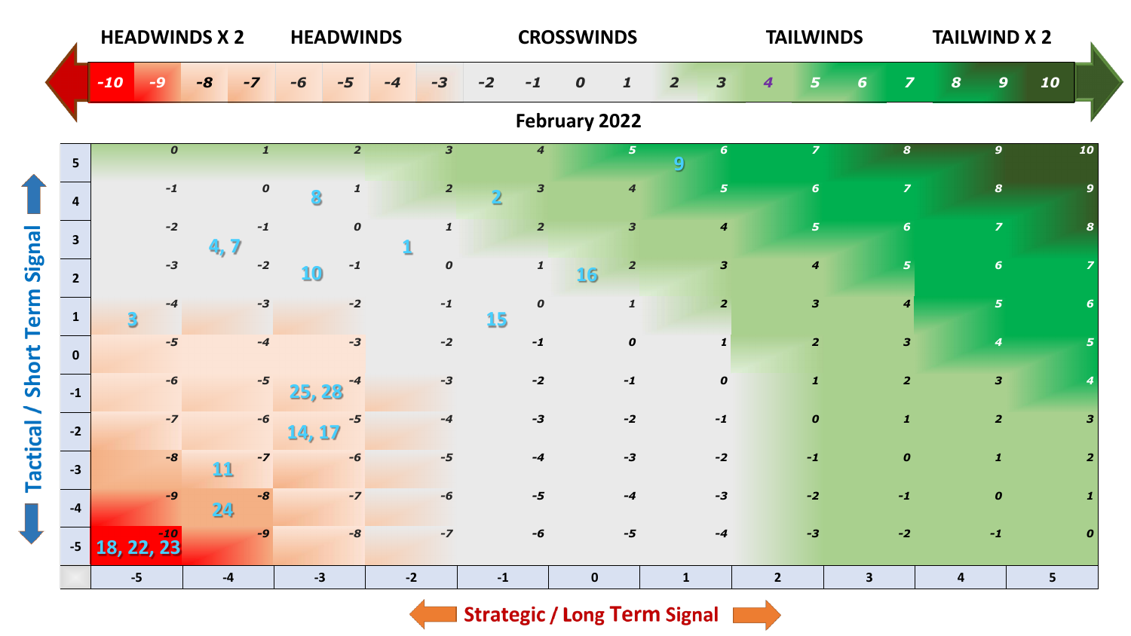|                         |                |                        | <b>HEADWINDS X 2</b> |                  |                 | <b>HEADWINDS</b> |      |                         |                |                             | <b>CROSSWINDS</b> |                             |                |                         |                | <b>TAILWINDS</b>        |              |                         | <b>TAILWIND X 2</b>     |                         |                |                  |  |
|-------------------------|----------------|------------------------|----------------------|------------------|-----------------|------------------|------|-------------------------|----------------|-----------------------------|-------------------|-----------------------------|----------------|-------------------------|----------------|-------------------------|--------------|-------------------------|-------------------------|-------------------------|----------------|------------------|--|
|                         | $-10$          | $\boldsymbol{\varPhi}$ | $-8$                 | $-7$             |                 |                  | -4   | $-3$                    | $-2$           |                             | $\boldsymbol{o}$  | $\mathbf{1}$                | $\overline{2}$ | 3                       | 4              | 5                       | 6            | $\overline{z}$          | $\boldsymbol{s}$        | $\mathbf{9}$            | 10             |                  |  |
|                         |                |                        |                      |                  |                 |                  |      |                         |                |                             | February 2022     |                             |                |                         |                |                         |              |                         |                         |                         |                |                  |  |
| 5 <sup>1</sup>          |                | $\boldsymbol{o}$       |                      | $\boldsymbol{1}$ |                 | $\overline{2}$   |      | $\overline{\mathbf{3}}$ |                | $\overline{\boldsymbol{4}}$ |                   | 5 <sup>1</sup>              | 9              | 6 <sup>1</sup>          |                | $\overline{z}$          |              | 8                       |                         | $\mathbf{9}$            |                | 10               |  |
| $\overline{\mathbf{4}}$ |                | $-1$                   |                      | $\pmb{o}$        |                 | $\mathbf{1}$     |      | $\overline{2}$          | $\overline{2}$ | $\overline{\mathbf{3}}$     |                   | $\overline{\boldsymbol{4}}$ |                | $\overline{\mathbf{5}}$ |                | $\boldsymbol{6}$        |              | $\overline{z}$          |                         | $\boldsymbol{s}$        |                | q                |  |
| 3 <sup>1</sup>          |                | $-2$                   | 4, 7                 | $-1$             |                 | $\boldsymbol{o}$ |      | $\mathbf{1}$            |                | $\overline{2}$              |                   | $\overline{\mathbf{3}}$     |                | $\boldsymbol{4}$        |                | $\overline{\mathbf{5}}$ |              | 6 <sup>1</sup>          |                         | $\overline{z}$          |                |                  |  |
| $2^{\circ}$             |                | $-3$                   |                      | $-2$             | 10 <sub>o</sub> | $-1$             |      | $\boldsymbol{o}$        |                | $\pmb{\mathcal{I}}$         | 16                | $\overline{2}$              |                | $\mathbf{3}$            |                | $\boldsymbol{4}$        |              | 5                       |                         | $\boldsymbol{6}$        |                |                  |  |
| $\mathbf{1}$            | $\overline{3}$ | $-4$                   |                      | $-3$             |                 | $-2$             |      | $-1$                    | 15             | $\boldsymbol{o}$            |                   | $\pmb{\mathcal{1}}$         |                | $\overline{2}$          |                | $\mathbf{3}$            |              | $\overline{4}$          |                         | $\overline{5}$          |                | 6                |  |
| $\mathbf 0$             |                | $-5$                   |                      | $-4$             |                 | $-3$             |      | $-2$                    |                | $-1$                        |                   | $\boldsymbol{o}$            |                | $\mathbf{1}$            |                | $\overline{2}$          |              | $\overline{\mathbf{3}}$ |                         | $\boldsymbol{4}$        |                | 5                |  |
| $-1$                    |                | $-6$                   |                      | $-5$             | 25, 28          | -4               |      | $-3$                    |                | $-2$                        |                   | $-1$                        |                | $\pmb{o}$               |                | $\boldsymbol{1}$        |              | $\overline{2}$          |                         | $\overline{\mathbf{3}}$ |                |                  |  |
| $-2$                    |                | $-7$                   |                      | $-6$             | 14, 17          | $-5$             |      | $-4$                    |                | $-3$                        |                   | $-2$                        |                | $-1$                    |                | $\pmb{o}$               |              | $\mathbf{1}$            |                         | $\overline{2}$          |                | $\mathbf{3}$     |  |
| $-3$                    |                | $-8$                   | 11                   | $-7$             |                 | $-6$             |      | $-5$                    |                | $-4$                        |                   | $-3$                        |                | $-2$                    |                | $-1$                    |              | $\boldsymbol{o}$        |                         | $\mathbf{1}$            |                | $\overline{2}$   |  |
| $-4$                    |                | $-9$                   | 24                   | $-8$             |                 | $-7$             |      | $-6$                    |                | $-5$                        |                   | $-4$                        |                | $-3$                    |                | $-2$                    |              | $-1$                    |                         | $\boldsymbol{o}$        |                | 1                |  |
| $-5$                    | 18, 22, 23     |                        |                      | $-9$             |                 | $-8$             |      | $-Z$                    |                | $-6$                        |                   | $-5$                        |                | $-4$                    |                | $-3$                    |              | $-2$                    |                         | $-1$                    |                | $\boldsymbol{0}$ |  |
|                         | $-5$           |                        |                      | $-4$             | $-3$            |                  | $-2$ |                         | $-1$           |                             | $\mathbf 0$       |                             | $\mathbf{1}$   |                         | $\overline{2}$ |                         | $\mathbf{3}$ |                         | $\overline{\mathbf{4}}$ |                         | 5 <sup>1</sup> |                  |  |

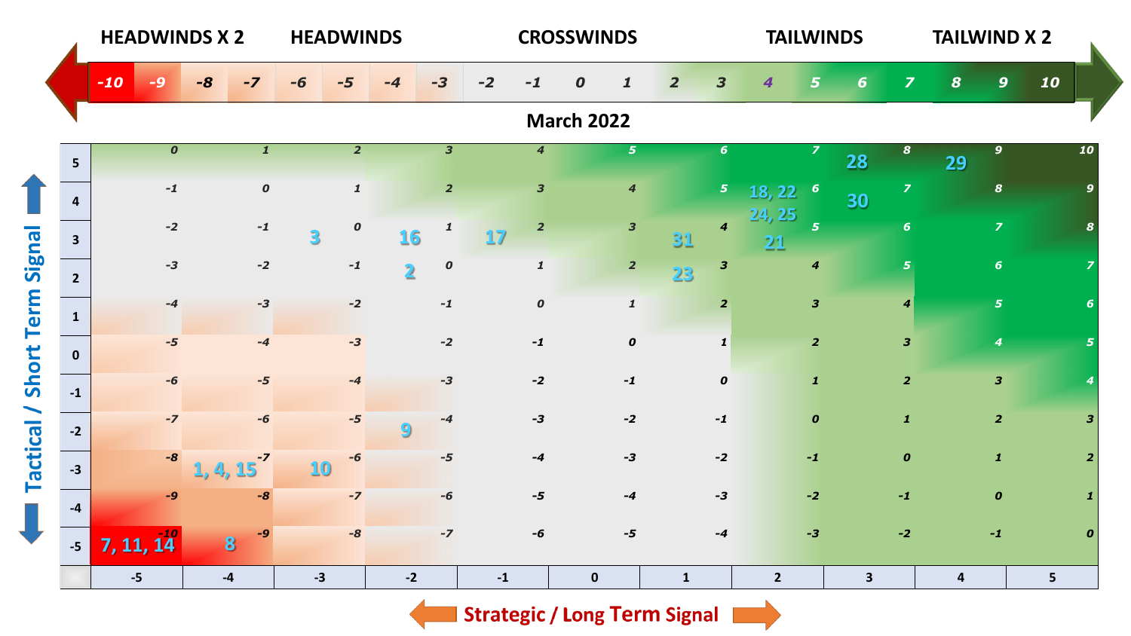|                          |                         | <b>HEADWINDS X 2</b> |                             |      |                         | <b>HEADWINDS</b> |                     |                         |                         |      |                         | <b>CROSSWINDS</b> |                             |                |                             | <b>TAILWINDS</b> |                         |                         | <b>TAILWIND X 2</b>     |                         |                  |                |                         |
|--------------------------|-------------------------|----------------------|-----------------------------|------|-------------------------|------------------|---------------------|-------------------------|-------------------------|------|-------------------------|-------------------|-----------------------------|----------------|-----------------------------|------------------|-------------------------|-------------------------|-------------------------|-------------------------|------------------|----------------|-------------------------|
|                          |                         | $-10$                | -9                          | $-8$ | $-7$                    |                  |                     | -4                      | $-3$                    | $-2$ | $-1$                    | $\boldsymbol{o}$  | $\mathbf{1}$                | $\overline{2}$ | 3                           | 4                | $5\overline{5}$         | 6                       | $\overline{\mathbf{z}}$ | $\boldsymbol{s}$        | $\mathbf{9}$     | 10             |                         |
|                          |                         |                      |                             |      |                         |                  |                     |                         |                         |      |                         | <b>March 2022</b> |                             |                |                             |                  |                         |                         |                         |                         |                  |                |                         |
|                          | 5 <sup>1</sup>          |                      | $\overline{\boldsymbol{o}}$ |      | $\overline{\mathbf{1}}$ |                  | $\overline{2}$      |                         | $\overline{\mathbf{3}}$ |      | $\overline{4}$          |                   | 5 <sup>1</sup>              |                | 6 <sup>1</sup>              |                  | $\overline{\mathbf{z}}$ | 28                      | $\boldsymbol{s}$        | 29                      | $\overline{9}$   |                | 10                      |
|                          | $\overline{\mathbf{4}}$ |                      | $-1$                        |      | $\pmb{o}$               |                  | $\pmb{\mathcal{I}}$ |                         | $\overline{2}$          |      | $\overline{\mathbf{3}}$ |                   | $\overline{\boldsymbol{4}}$ |                | $\overline{\mathbf{5}}$     | 18, 22           | $\boldsymbol{6}$        | 30                      | $\overline{z}$          |                         | $\boldsymbol{8}$ |                | 9                       |
|                          | $\overline{\mathbf{3}}$ |                      | $-2$                        |      | $-1$                    | 3                | $\boldsymbol{o}$    | 16                      | $\mathbf{1}$            | 17   | $\overline{2}$          |                   | $\overline{\mathbf{3}}$     | 31             | $\overline{\boldsymbol{4}}$ | 24, 25<br>21     | $\overline{5}$          |                         | $6\phantom{1}$          |                         | $\overline{z}$   |                |                         |
| <b>Short Term Signal</b> | $2^{\circ}$             |                      | $-3$                        |      | $-2$                    |                  | $-1$                | $\overline{\mathbf{2}}$ | $\boldsymbol{o}$        |      | $\pmb{\mathcal{I}}$     |                   | $\overline{2}$              | 23             | $\mathbf{3}$                |                  | $\boldsymbol{4}$        |                         | $5\overline{5}$         |                         | $\boldsymbol{6}$ |                |                         |
|                          | $\mathbf{1}$            |                      | $-4$                        |      | $-3$                    |                  | $-2$                |                         | $-1$                    |      | $\pmb{o}$               |                   | $\pmb{\mathcal{I}}$         |                | $\overline{2}$              |                  | $\mathbf{3}$            |                         | $\boldsymbol{4}$        |                         | $\overline{5}$   |                | 6                       |
|                          | $\mathbf{0}$            |                      | $-5$                        |      | $-4$                    |                  | $-3$                |                         | $-2$                    |      | $-1$                    |                   | $\boldsymbol{o}$            |                | $\mathbf{1}$                |                  | $\overline{2}$          |                         | $\overline{\mathbf{3}}$ |                         | 4                |                | 5                       |
|                          | $-1$                    |                      | $-6$                        |      | $-5$                    |                  | $-4$                |                         | $-3$                    |      | $-2$                    |                   | $-1$                        |                | $\pmb{o}$                   |                  | $\boldsymbol{1}$        |                         | $\overline{2}$          |                         | $\mathbf{3}$     |                |                         |
|                          | $-2$                    |                      | $-7$                        |      | $-6$                    |                  | $-5$                | 9                       | $-4$                    |      | $-3$                    |                   | $-2$                        |                | $-1$                        |                  | $\boldsymbol{o}$        |                         | $\mathbf{1}$            |                         | $\overline{2}$   |                | $\overline{\mathbf{3}}$ |
| Tactical /               | $-3$                    |                      | $-8$                        |      | $-7$<br>4,15            | 10               | -6                  |                         | $-5$                    |      | $-4$                    |                   | $-3$                        |                | $-2$                        |                  | $-1$                    |                         | $\boldsymbol{o}$        |                         | $\mathbf{1}$     |                | $\overline{2}$          |
|                          | $-4$                    |                      | $-9$                        |      | $-8$                    |                  | $-7$                |                         | $-6$                    |      | $-5$                    |                   | $-4$                        |                | $-3$                        |                  | $-2$                    |                         | $-1$                    |                         | $\boldsymbol{o}$ |                | $\mathbf{1}$            |
|                          | $-5$                    | 7, 11, 14            |                             |      | -9<br>8                 |                  | $-8$                |                         | $-7$                    |      | -6                      |                   | $-5$                        |                | $-4$                        |                  | $-3$                    |                         | $-2$                    |                         | $-1$             |                | $\boldsymbol{0}$        |
|                          |                         | $-5$                 |                             |      | $-4$                    | $-3$             |                     | $-2$                    |                         | $-1$ |                         | $\mathbf 0$       |                             | $\mathbf{1}$   |                             | $\overline{2}$   |                         | $\overline{\mathbf{3}}$ |                         | $\overline{\mathbf{4}}$ |                  | 5 <sup>1</sup> |                         |

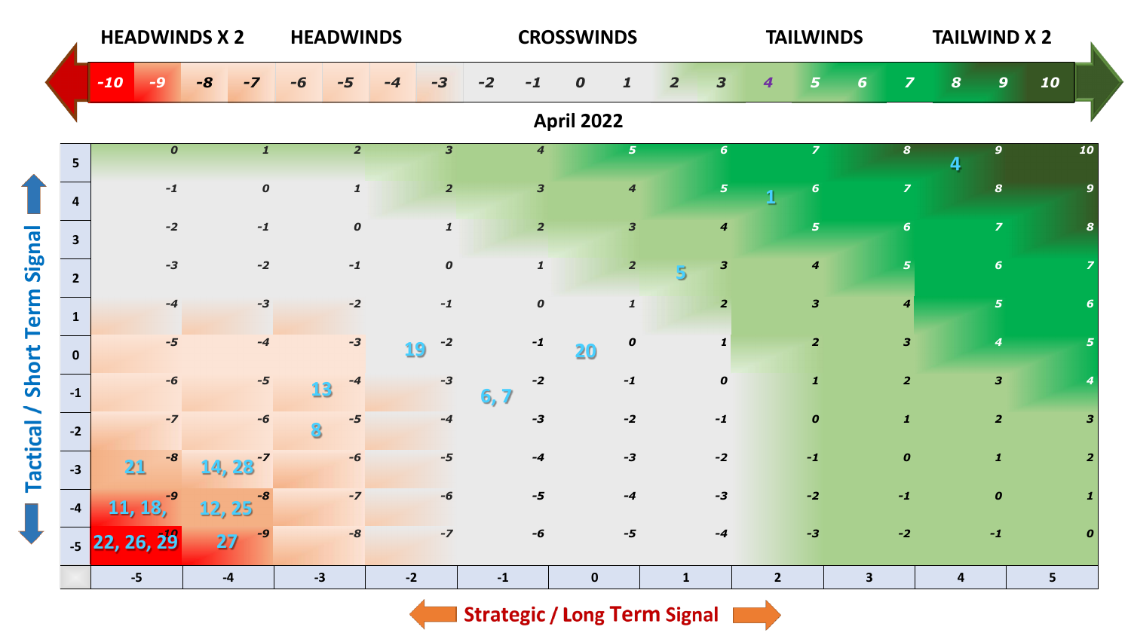|                           |       | <b>HEADWINDS X 2</b>        |        | <b>HEADWINDS</b>      |      |                  |      |                         |      | <b>CROSSWINDS</b>       |                   |                         |                |                         | <b>TAILWINDS</b> |                         | <b>TAILWIND X 2</b>     |                         |                         |                  |                |                  |
|---------------------------|-------|-----------------------------|--------|-----------------------|------|------------------|------|-------------------------|------|-------------------------|-------------------|-------------------------|----------------|-------------------------|------------------|-------------------------|-------------------------|-------------------------|-------------------------|------------------|----------------|------------------|
|                           | $-10$ | $\blacktriangle$            | -8     | $-7$                  |      |                  | -4   | $-3$                    | $-2$ | -1                      | $\boldsymbol{o}$  | $\mathbf{1}$            | $\overline{2}$ | $\overline{\mathbf{3}}$ | 4                | 5                       | 6                       | $\overline{z}$          | $\boldsymbol{8}$        | $\mathbf{9}$     | 10             |                  |
|                           |       |                             |        |                       |      |                  |      |                         |      |                         | <b>April 2022</b> |                         |                |                         |                  |                         |                         |                         |                         |                  |                |                  |
| 5 <sup>1</sup>            |       | $\overline{\boldsymbol{o}}$ |        | $\mathbf{1}$          |      | $\overline{2}$   |      | $\overline{\mathbf{3}}$ |      | $\boldsymbol{4}$        |                   | 5 <sub>1</sub>          |                | $6\phantom{1}$          |                  | $\overline{z}$          |                         | $\boldsymbol{s}$        | 4                       | $\mathbf{9}$     |                | 10               |
| $\overline{\mathbf{4}}$   |       | $\mathbf{-1}$               |        | $\boldsymbol{o}$      |      | $\mathbf{1}$     |      | $\overline{2}$          |      | $\overline{\mathbf{3}}$ |                   | $\overline{\mathbf{4}}$ |                | $\overline{\mathbf{5}}$ | 1                | $\boldsymbol{6}$        |                         | $\overline{z}$          |                         | $\boldsymbol{s}$ |                | 9                |
| 3 <sup>1</sup>            |       | $-2$                        |        | $-1$                  |      | $\boldsymbol{o}$ |      | $\pmb{\mathcal{I}}$     |      | $\overline{2}$          |                   | $\overline{\mathbf{3}}$ |                | $\boldsymbol{4}$        |                  | $\overline{\mathbf{5}}$ |                         | 6 <sup>1</sup>          |                         | $\overline{z}$   |                |                  |
| $2^{\circ}$               |       | $-3$                        |        | $-2$                  |      | $\mathbf{-1}$    |      | $\pmb{o}$               |      | $\pmb{\mathcal{I}}$     |                   | $\overline{2}$          | $\overline{5}$ | $\mathbf{3}$            |                  | $\boldsymbol{4}$        |                         | 5 <sup>1</sup>          |                         | $\boldsymbol{6}$ |                |                  |
| $\mathbf{1}$              |       | $-4$                        |        | $-3$                  |      | $-2$             |      | $-1$                    |      | $\boldsymbol{o}$        |                   | $\mathbf{1}$            |                | $\overline{2}$          |                  | $\overline{\mathbf{3}}$ |                         | $\boldsymbol{4}$        |                         | $\overline{5}$   |                | 6                |
| $\mathbf{0}$              |       | $-5$                        |        | $-4$                  |      | $-3$             | 19   | $-2$                    |      | $-1$                    | 20                | $\boldsymbol{o}$        |                | $\mathbf{1}$            |                  | $\overline{\mathbf{2}}$ |                         | $\overline{\mathbf{3}}$ |                         | $\boldsymbol{4}$ |                | 5 <sup>5</sup>   |
| Short Term Signal<br>$-1$ |       | $-6$                        |        | $-5$                  | 13   | -4               |      | $-3$                    | 6,7  | $-2$                    |                   | $-1$                    |                | $\pmb{o}$               |                  | $\mathbf{1}$            |                         | $\overline{2}$          |                         | $\mathbf{3}$     |                |                  |
| $-2$                      |       | $-7$                        |        | $-6$                  |      | $-5$             |      | $-4$                    |      | $-3$                    |                   | $-2$                    |                | $-1$                    |                  | $\boldsymbol{o}$        |                         | $\mathbf{1}$            |                         | $\overline{2}$   |                | $\mathbf{3}$     |
| $-3$                      |       | $-8$<br>21                  |        | $14, 23$ <sup>7</sup> |      | -6               |      | $-5$                    |      | $-4$                    |                   | $-3$                    |                | $-2$                    |                  | $-1$                    |                         | $\boldsymbol{o}$        |                         | $\mathbf{1}$     |                | $\overline{2}$   |
| $-4$                      |       | -9<br>11, 18,               | 12, 25 | $-8$                  |      | $-7$             |      | $-6$                    |      | $-5$                    |                   | $-4$                    |                | $-3$                    |                  | $-2$                    |                         | $-1$                    |                         | $\boldsymbol{o}$ |                |                  |
|                           |       | $-5$ 22, 26, 29             | 27     | $-9$                  |      | $-8$             |      | $-7$                    |      | $-6$                    |                   | $-5$                    |                | $-4$                    |                  | $-3$                    |                         | $-2$                    |                         | $-1$             |                | $\boldsymbol{o}$ |
|                           |       | $-5$                        | $-4$   |                       | $-3$ |                  | $-2$ |                         | $-1$ |                         | $\mathbf 0$       |                         | $\mathbf{1}$   |                         | $\overline{2}$   |                         | $\overline{\mathbf{3}}$ |                         | $\overline{\mathbf{4}}$ |                  | 5 <sup>1</sup> |                  |